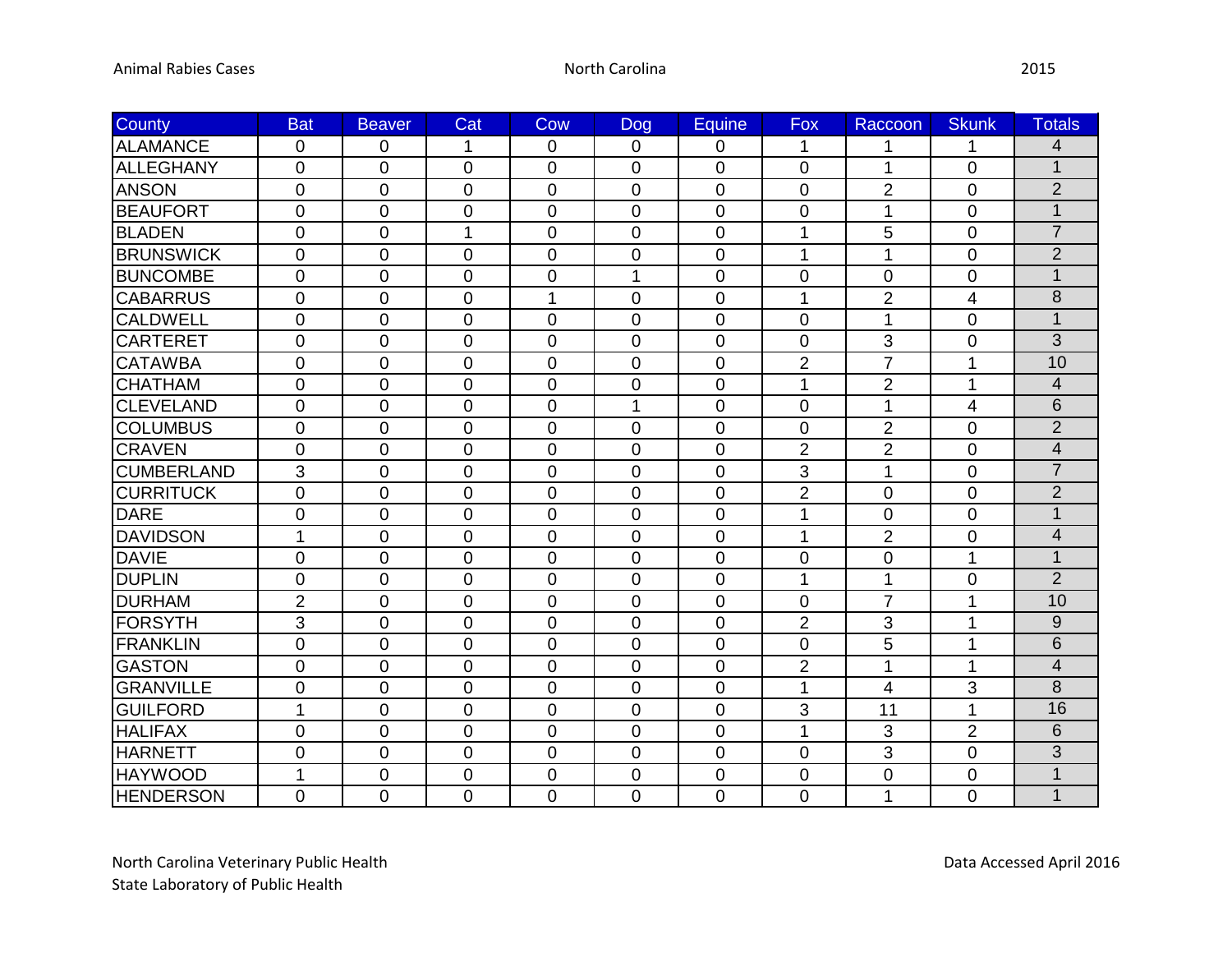| <b>County</b>     | <b>Bat</b>     | <b>Beaver</b>  | Cat            | Cow            | <b>Dog</b>     | Equine         | <b>Fox</b>     | Raccoon        | <b>Skunk</b>   | <b>Totals</b>            |
|-------------------|----------------|----------------|----------------|----------------|----------------|----------------|----------------|----------------|----------------|--------------------------|
| ALAMANCE          | $\overline{0}$ | 0              | 1              | $\mathbf 0$    | $\mathbf 0$    | 0              | $\mathbf{1}$   | 1              | 1              | 4                        |
| <b>ALLEGHANY</b>  | 0              | $\mathbf 0$    | $\mathbf 0$    | 0              | 0              | 0              | 0              | 1              | 0              | $\overline{1}$           |
| <b>ANSON</b>      | 0              | $\overline{0}$ | 0              | $\mathbf 0$    | $\overline{0}$ | 0              | 0              | 2              | 0              | $\overline{2}$           |
| <b>BEAUFORT</b>   | $\overline{0}$ | $\overline{0}$ | $\overline{0}$ | $\overline{0}$ | $\overline{0}$ | $\overline{0}$ | $\overline{0}$ | 1              | $\overline{0}$ | $\overline{1}$           |
| <b>BLADEN</b>     | 0              | $\mathbf 0$    | 1              | $\mathbf 0$    | $\mathbf 0$    | 0              | 1              | 5              | 0              | $\overline{7}$           |
| <b>BRUNSWICK</b>  | 0              | $\mathbf 0$    | $\mathbf 0$    | $\mathbf 0$    | 0              | 0              | 1              | 1              | 0              | $\overline{2}$           |
| <b>BUNCOMBE</b>   | $\overline{0}$ | $\overline{0}$ | $\overline{0}$ | $\overline{0}$ | $\overline{1}$ | $\overline{0}$ | $\overline{0}$ | $\Omega$       | $\overline{0}$ | $\overline{1}$           |
| <b>CABARRUS</b>   | 0              | $\mathbf 0$    | $\mathbf 0$    | 1              | $\mathbf 0$    | $\mathbf 0$    | 1              | $\overline{2}$ | 4              | 8                        |
| <b>CALDWELL</b>   | 0              | $\mathbf 0$    | 0              | $\mathbf 0$    | 0              | $\mathbf 0$    | 0              | 1              | 0              | 1                        |
| <b>CARTERET</b>   | 0              | $\overline{0}$ | $\overline{0}$ | $\overline{0}$ | $\overline{0}$ | 0              | $\overline{0}$ | 3              | $\overline{0}$ | $\overline{3}$           |
| <b>CATAWBA</b>    | 0              | $\mathbf 0$    | 0              | $\overline{0}$ | $\overline{0}$ | 0              | $\overline{2}$ | $\overline{7}$ | 1              | 10                       |
| <b>CHATHAM</b>    | 0              | $\mathbf 0$    | 0              | $\mathbf 0$    | $\overline{0}$ | $\mathbf 0$    | 1              | $\overline{2}$ | 1              | $\overline{4}$           |
| <b>CLEVELAND</b>  | 0              | $\mathbf 0$    | 0              | 0              | 1              | 0              | 0              | 1              | 4              | 6                        |
| <b>COLUMBUS</b>   | 0              | $\mathbf 0$    | $\overline{0}$ | $\overline{0}$ | $\overline{0}$ | $\mathbf 0$    | 0              | $\overline{2}$ | 0              | $\overline{2}$           |
| <b>CRAVEN</b>     | $\overline{0}$ | $\mathbf 0$    | $\overline{0}$ | $\overline{0}$ | $\overline{0}$ | $\mathbf 0$    | $\overline{2}$ | $\overline{2}$ | $\overline{0}$ | $\overline{\mathcal{A}}$ |
| <b>CUMBERLAND</b> | 3              | $\mathbf 0$    | 0              | $\overline{0}$ | $\overline{0}$ | 0              | 3              | 1              | 0              | $\overline{7}$           |
| <b>CURRITUCK</b>  | $\overline{0}$ | $\mathbf 0$    | $\mathbf 0$    | $\overline{0}$ | $\overline{0}$ | 0              | $\overline{2}$ | $\overline{0}$ | $\mathbf 0$    | $\overline{2}$           |
| <b>DARE</b>       | $\overline{0}$ | $\overline{0}$ | $\overline{0}$ | $\Omega$       | $\overline{0}$ | $\overline{0}$ | 1              | $\Omega$       | $\Omega$       | $\overline{1}$           |
| <b>DAVIDSON</b>   | $\mathbf{1}$   | $\mathbf 0$    | 0              | $\overline{0}$ | $\overline{0}$ | 0              | 1              | $\overline{2}$ | 0              | $\overline{\mathcal{L}}$ |
| <b>DAVIE</b>      | 0              | $\mathbf 0$    | 0              | $\mathbf 0$    | $\mathbf 0$    | $\pmb{0}$      | $\mathbf 0$    | $\mathbf 0$    | 1              | $\mathbf{1}$             |
| DUPLIN            | 0              | $\mathbf 0$    | 0              | $\Omega$       | $\overline{0}$ | $\mathbf 0$    | 1              | 1              | 0              | $\overline{2}$           |
| <b>DURHAM</b>     | $\overline{2}$ | $\overline{0}$ | 0              | $\overline{0}$ | $\overline{0}$ | 0              | $\mathbf 0$    | $\overline{7}$ | 1              | 10                       |
| <b>FORSYTH</b>    | 3              | $\mathbf 0$    | 0              | $\overline{0}$ | $\mathbf 0$    | 0              | $\overline{2}$ | 3              | 1              | $9\,$                    |
| <b>FRANKLIN</b>   | $\overline{0}$ | $\mathbf 0$    | 0              | $\mathbf 0$    | $\overline{0}$ | $\mathbf 0$    | $\mathbf 0$    | 5              | $\mathbf 1$    | 6                        |
| <b>GASTON</b>     | 0              | $\overline{0}$ | 0              | $\overline{0}$ | $\overline{0}$ | 0              | $\overline{2}$ | 1              | 1              | $\overline{\mathcal{L}}$ |
| <b>GRANVILLE</b>  | $\overline{0}$ | $\mathbf 0$    | 0              | $\overline{0}$ | $\mathbf 0$    | $\mathbf 0$    | 1              | 4              | 3              | 8                        |
| <b>GUILFORD</b>   | 1              | $\mathbf 0$    | 0              | $\mathbf 0$    | 0              | 0              | 3              | 11             | $\mathbf{1}$   | 16                       |
| <b>HALIFAX</b>    | $\overline{0}$ | $\overline{0}$ | 0              | $\overline{0}$ | $\overline{0}$ | 0              | 1              | 3              | $\overline{2}$ | 6                        |
| <b>HARNETT</b>    | $\overline{0}$ | $\overline{0}$ | $\overline{0}$ | $\overline{0}$ | $\overline{0}$ | 0              | $\overline{0}$ | 3              | $\overline{0}$ | $\overline{3}$           |
| <b>HAYWOOD</b>    | $\mathbf{1}$   | $\mathbf 0$    | 0              | $\overline{0}$ | 0              | $\mathbf 0$    | 0              | $\overline{0}$ | 0              | 1                        |
| <b>HENDERSON</b>  | 0              | $\overline{0}$ | 0              | $\overline{0}$ | $\overline{0}$ | 0              | $\overline{0}$ | 1              | 0              | $\mathbf{1}$             |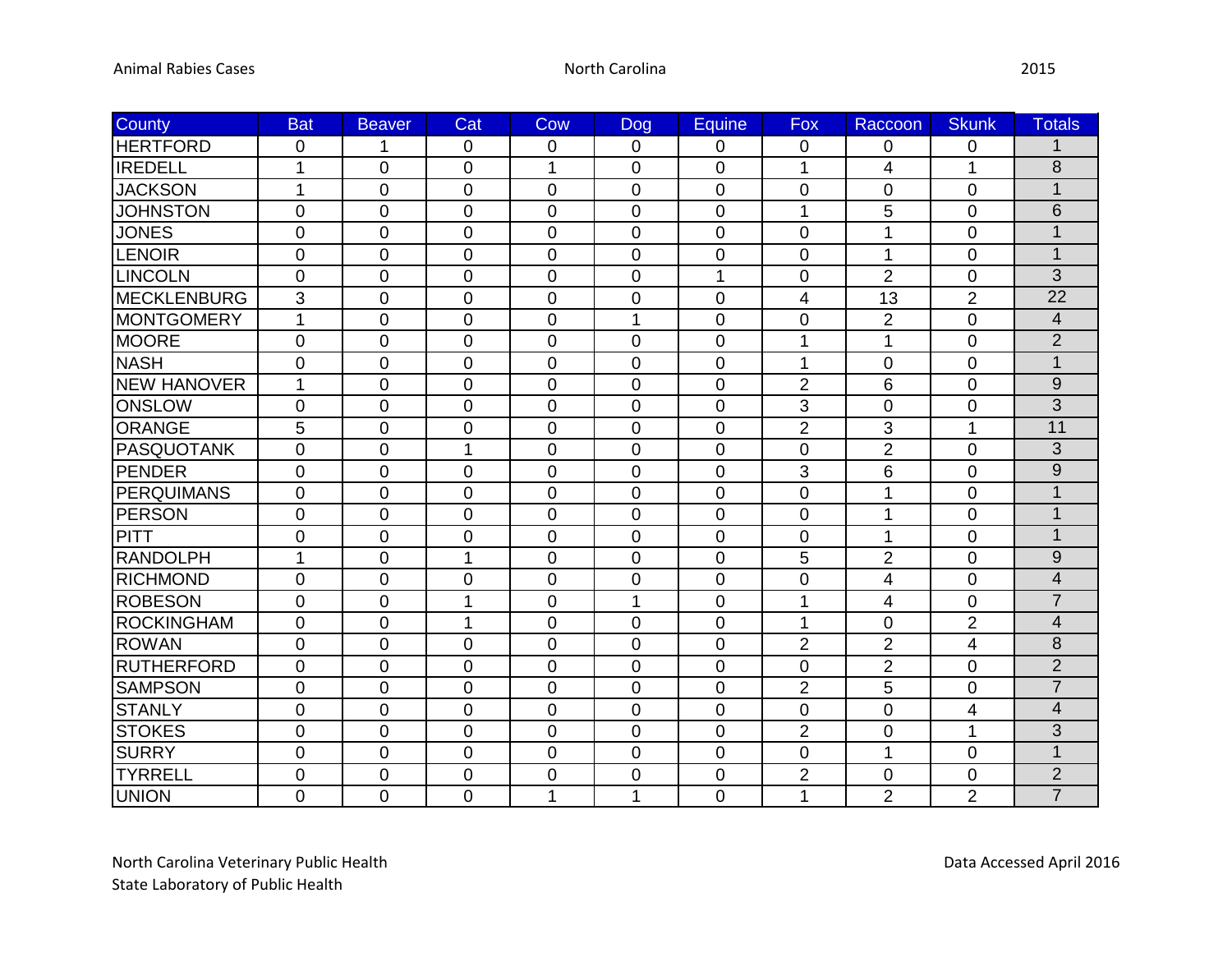| County             | <b>Bat</b>     | <b>Beaver</b>    | Cat            | Cow            | <b>Dog</b>     | Equine         | Fox            | Raccoon        | <b>Skunk</b>   | <b>Totals</b>   |
|--------------------|----------------|------------------|----------------|----------------|----------------|----------------|----------------|----------------|----------------|-----------------|
| <b>HERTFORD</b>    | 0              | 1                | 0              | $\overline{0}$ | $\overline{0}$ | 0              | 0              | $\overline{0}$ | 0              | 1               |
| <b>IREDELL</b>     | $\mathbf 1$    | $\overline{0}$   | 0              | 1              | 0              | 0              | 1              | 4              | $\mathbf{1}$   | 8               |
| <b>JACKSON</b>     | $\mathbf{1}$   | 0                | 0              | $\overline{0}$ | $\overline{0}$ | 0              | 0              | $\mathbf 0$    | 0              | 1               |
| <b>JOHNSTON</b>    | $\overline{0}$ | $\overline{0}$   | $\overline{0}$ | $\overline{0}$ | $\overline{0}$ | $\overline{0}$ | $\mathbf{1}$   | 5              | $\overline{0}$ | $\overline{6}$  |
| <b>JONES</b>       | 0              | $\mathbf 0$      | 0              | $\mathbf 0$    | $\mathbf 0$    | $\mathbf 0$    | $\mathbf 0$    | 1              | 0              | $\overline{1}$  |
| <b>LENOIR</b>      | 0              | $\mathbf 0$      | 0              | $\overline{0}$ | 0              | 0              | 0              | 1              | 0              | $\mathbf{1}$    |
| <b>LINCOLN</b>     | $\overline{0}$ | $\overline{0}$   | $\overline{0}$ | $\overline{0}$ | $\overline{0}$ | $\mathbf{1}$   | $\overline{0}$ | $\overline{2}$ | $\overline{0}$ | $\overline{3}$  |
| MECKLENBURG        | 3              | $\overline{0}$   | 0              | 0              | $\mathbf 0$    | $\mathbf 0$    | 4              | 13             | $\overline{2}$ | $\overline{22}$ |
| <b>MONTGOMERY</b>  | 1              | $\mathbf 0$      | 0              | $\mathbf 0$    | 1              | $\mathbf 0$    | $\mathbf 0$    | $\overline{2}$ | 0              | $\overline{4}$  |
| <b>MOORE</b>       | 0              | $\overline{0}$   | $\overline{0}$ | $\Omega$       | $\overline{0}$ | 0              | 1              | 1              | $\overline{0}$ | $\overline{2}$  |
| <b>NASH</b>        | 0              | $\mathbf 0$      | 0              | $\overline{0}$ | $\overline{0}$ | $\mathbf 0$    | 1              | $\overline{0}$ | 0              | $\overline{1}$  |
| <b>NEW HANOVER</b> | $\mathbf{1}$   | $\overline{0}$   | 0              | $\overline{0}$ | $\overline{0}$ | $\mathbf 0$    | $\overline{2}$ | 6              | 0              | 9               |
| ONSLOW             | 0              | $\mathbf 0$      | 0              | $\mathbf 0$    | $\mathbf 0$    | 0              | 3              | $\mathbf 0$    | 0              | $\overline{3}$  |
| ORANGE             | 5              | $\mathbf 0$      | 0              | $\overline{0}$ | $\mathbf 0$    | $\mathbf 0$    | $\overline{2}$ | 3              | $\mathbf{1}$   | 11              |
| PASQUOTANK         | 0              | $\overline{0}$   | 1              | $\overline{0}$ | $\overline{0}$ | $\mathbf 0$    | $\mathbf 0$    | $\overline{2}$ | 0              | 3               |
| PENDER             | 0              | $\overline{0}$   | 0              | $\overline{0}$ | $\overline{0}$ | 0              | 3              | 6              | 0              | $\overline{9}$  |
| <b>PERQUIMANS</b>  | 0              | $\mathbf 0$      | 0              | $\overline{0}$ | $\overline{0}$ | 0              | 0              | 1              | 0              | $\mathbf{1}$    |
| <b>PERSON</b>      | 0              | $\overline{0}$   | 0              | $\Omega$       | $\overline{0}$ | $\overline{0}$ | $\overline{0}$ | 1              | 0              | $\overline{1}$  |
| PITT               | 0              | $\overline{0}$   | 0              | $\overline{0}$ | $\overline{0}$ | 0              | 0              | 1              | 0              | $\mathbf{1}$    |
| <b>RANDOLPH</b>    | 1              | $\boldsymbol{0}$ | $\mathbf{1}$   | 0              | 0              | 0              | 5              | $\overline{2}$ | 0              | $\overline{9}$  |
| RICHMOND           | 0              | $\overline{0}$   | 0              | $\mathbf 0$    | $\overline{0}$ | $\mathbf 0$    | $\mathbf 0$    | $\overline{4}$ | 0              | $\overline{4}$  |
| <b>ROBESON</b>     | 0              | 0                | 1              | $\overline{0}$ | $\overline{1}$ | 0              | 1              | $\overline{4}$ | 0              | $\overline{7}$  |
| <b>ROCKINGHAM</b>  | 0              | $\mathbf 0$      | 1              | $\mathbf 0$    | $\mathbf 0$    | $\mathbf 0$    | 1              | $\overline{0}$ | $\overline{2}$ | $\overline{4}$  |
| <b>ROWAN</b>       | 0              | $\mathbf 0$      | 0              | $\overline{0}$ | $\overline{0}$ | $\mathbf 0$    | $\overline{2}$ | $\overline{2}$ | 4              | 8               |
| RUTHERFORD         | 0              | $\mathbf 0$      | 0              | $\overline{0}$ | $\overline{0}$ | $\mathbf 0$    | $\mathbf 0$    | $\overline{2}$ | 0              | $\overline{2}$  |
| <b>SAMPSON</b>     | $\pmb{0}$      | $\mathbf 0$      | 0              | $\overline{0}$ | $\mathbf 0$    | $\mathbf 0$    | $\overline{2}$ | 5              | 0              | $\overline{7}$  |
| <b>STANLY</b>      | 0              | $\overline{0}$   | 0              | 0              | 0              | 0              | $\mathsf 0$    | $\mathbf 0$    | 4              | $\overline{4}$  |
| <b>STOKES</b>      | 0              | $\overline{0}$   | 0              | $\overline{0}$ | $\overline{0}$ | 0              | $\overline{2}$ | $\overline{0}$ | $\mathbf{1}$   | 3               |
| <b>SURRY</b>       | $\overline{0}$ | $\overline{0}$   | $\overline{0}$ | $\overline{0}$ | $\overline{0}$ | $\mathbf 0$    | $\overline{0}$ | 1              | $\overline{0}$ | $\overline{1}$  |
| <b>TYRRELL</b>     | 0              | $\overline{0}$   | 0              | 0              | 0              | $\mathbf 0$    | $\overline{2}$ | $\overline{0}$ | 0              | $\overline{2}$  |
| <b>UNION</b>       | 0              | $\mathbf 0$      | 0              | 1              | 1              | 0              | 1              | $\overline{2}$ | $\overline{2}$ | $\overline{7}$  |